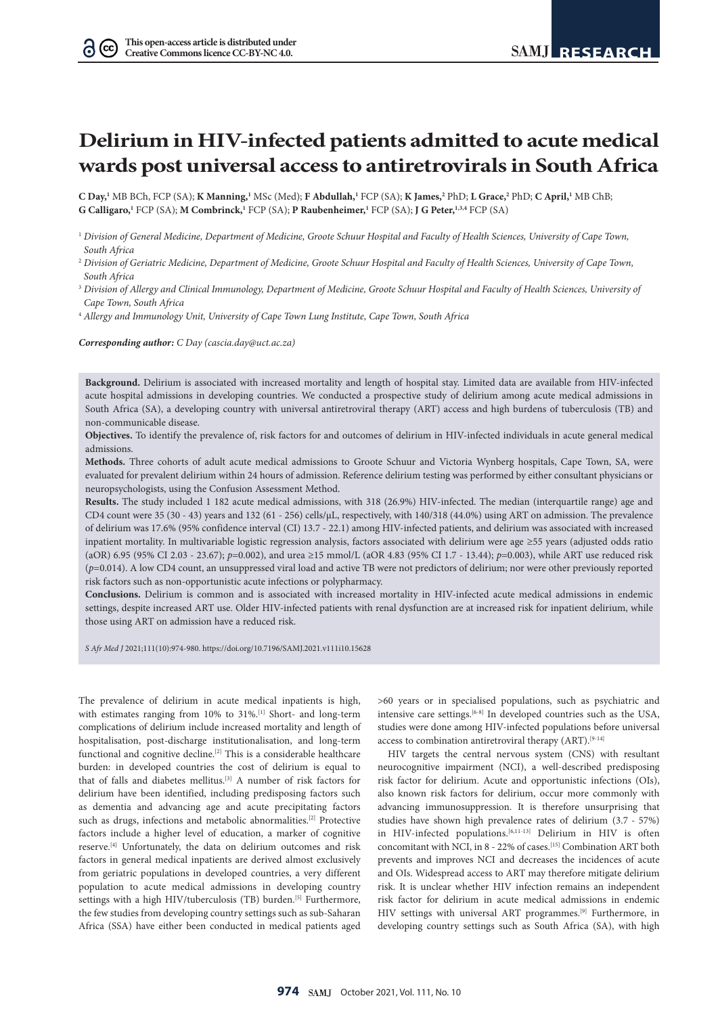$\Omega$  (cc)

# **Delirium in HIV-infected patients admitted to acute medical wards post universal access to antiretrovirals in South Africa**

**C Day,<sup>1</sup>** MB BCh, FCP (SA); **K Manning,<sup>1</sup>** MSc (Med); **F Abdullah,<sup>1</sup>** FCP (SA); **K James,<sup>2</sup> PhD; <b>L Grace**,<sup>2</sup> PhD; **C April,<sup>1</sup>** MB ChB; G Calligaro,<sup>1</sup> FCP (SA); **M Combrinck**,<sup>1</sup> FCP (SA); **P Raubenheimer**,<sup>1</sup> FCP (SA); **J G Peter,**<sup>1,3,4</sup> FCP (SA)

- <sup>1</sup> *Division of General Medicine, Department of Medicine, Groote Schuur Hospital and Faculty of Health Sciences, University of Cape Town, South Africa*
- <sup>2</sup> *Division of Geriatric Medicine, Department of Medicine, Groote Schuur Hospital and Faculty of Health Sciences, University of Cape Town, South Africa*
- <sup>3</sup> Division of Allergy and Clinical Immunology, Department of Medicine, Groote Schuur Hospital and Faculty of Health Sciences, University of *Cape Town, South Africa*
- 4  *Allergy and Immunology Unit, University of Cape Town Lung Institute, Cape Town, South Africa*

*Corresponding author: C Day [\(cascia.day@uct.ac.za](mailto:cascia.day@uct.ac.za))*

**Background.** Delirium is associated with increased mortality and length of hospital stay. Limited data are available from HIV-infected acute hospital admissions in developing countries. We conducted a prospective study of delirium among acute medical admissions in South Africa (SA), a developing country with universal antiretroviral therapy (ART) access and high burdens of tuberculosis (TB) and non-communicable disease.

**Objectives.** To identify the prevalence of, risk factors for and outcomes of delirium in HIV-infected individuals in acute general medical admissions.

**Methods.** Three cohorts of adult acute medical admissions to Groote Schuur and Victoria Wynberg hospitals, Cape Town, SA, were evaluated for prevalent delirium within 24 hours of admission. Reference delirium testing was performed by either consultant physicians or neuropsychologists, using the Confusion Assessment Method.

**Results.** The study included 1 182 acute medical admissions, with 318 (26.9%) HIV-infected. The median (interquartile range) age and CD4 count were 35 (30 - 43) years and 132 (61 - 256) cells/µL, respectively, with 140/318 (44.0%) using ART on admission. The prevalence of delirium was 17.6% (95% confidence interval (CI) 13.7 - 22.1) among HIV-infected patients, and delirium was associated with increased inpatient mortality. In multivariable logistic regression analysis, factors associated with delirium were age ≥55 years (adjusted odds ratio (aOR) 6.95 (95% CI 2.03 - 23.67); *p*=0.002), and urea ≥15 mmol/L (aOR 4.83 (95% CI 1.7 - 13.44); *p*=0.003), while ART use reduced risk (*p*=0.014). A low CD4 count, an unsuppressed viral load and active TB were not predictors of delirium; nor were other previously reported risk factors such as non-opportunistic acute infections or polypharmacy.

**Conclusions.** Delirium is common and is associated with increased mortality in HIV-infected acute medical admissions in endemic settings, despite increased ART use. Older HIV-infected patients with renal dysfunction are at increased risk for inpatient delirium, while those using ART on admission have a reduced risk.

*S Afr Med J* 2021;111(10):974-980. <https://doi.org/10.7196/SAMJ.2021.v111i10.15628>

The prevalence of delirium in acute medical inpatients is high, with estimates ranging from 10% to 31%.<sup>[1]</sup> Short- and long-term complications of delirium include increased mortality and length of hospitalisation, post-discharge institutionalisation, and long-term functional and cognitive decline.<sup>[2]</sup> This is a considerable healthcare burden: in developed countries the cost of delirium is equal to that of falls and diabetes mellitus.[3] A number of risk factors for delirium have been identified, including predisposing factors such as dementia and advancing age and acute precipitating factors such as drugs, infections and metabolic abnormalities.<sup>[2]</sup> Protective factors include a higher level of education, a marker of cognitive reserve.[4] Unfortunately, the data on delirium outcomes and risk factors in general medical inpatients are derived almost exclusively from geriatric populations in developed countries, a very different population to acute medical admissions in developing country settings with a high HIV/tuberculosis (TB) burden.<sup>[5]</sup> Furthermore, the few studies from developing country settings such as sub-Saharan Africa (SSA) have either been conducted in medical patients aged

>60 years or in specialised populations, such as psychiatric and intensive care settings.[6-8] In developed countries such as the USA, studies were done among HIV-infected populations before universal access to combination antiretroviral therapy (ART).<sup>[9-14]</sup>

HIV targets the central nervous system (CNS) with resultant neurocognitive impairment (NCI), a well-described predisposing risk factor for delirium. Acute and opportunistic infections (OIs), also known risk factors for delirium, occur more commonly with advancing immunosuppression. It is therefore unsurprising that studies have shown high prevalence rates of delirium (3.7 - 57%) in HIV-infected populations.<sup>[6,11-13]</sup> Delirium in HIV is often concomitant with NCI, in 8 - 22% of cases.  $^{\left[ 15\right] }$  Combination ART both prevents and improves NCI and decreases the incidences of acute and OIs. Widespread access to ART may therefore mitigate delirium risk. It is unclear whether HIV infection remains an independent risk factor for delirium in acute medical admissions in endemic HIV settings with universal ART programmes.[9] Furthermore, in developing country settings such as South Africa (SA), with high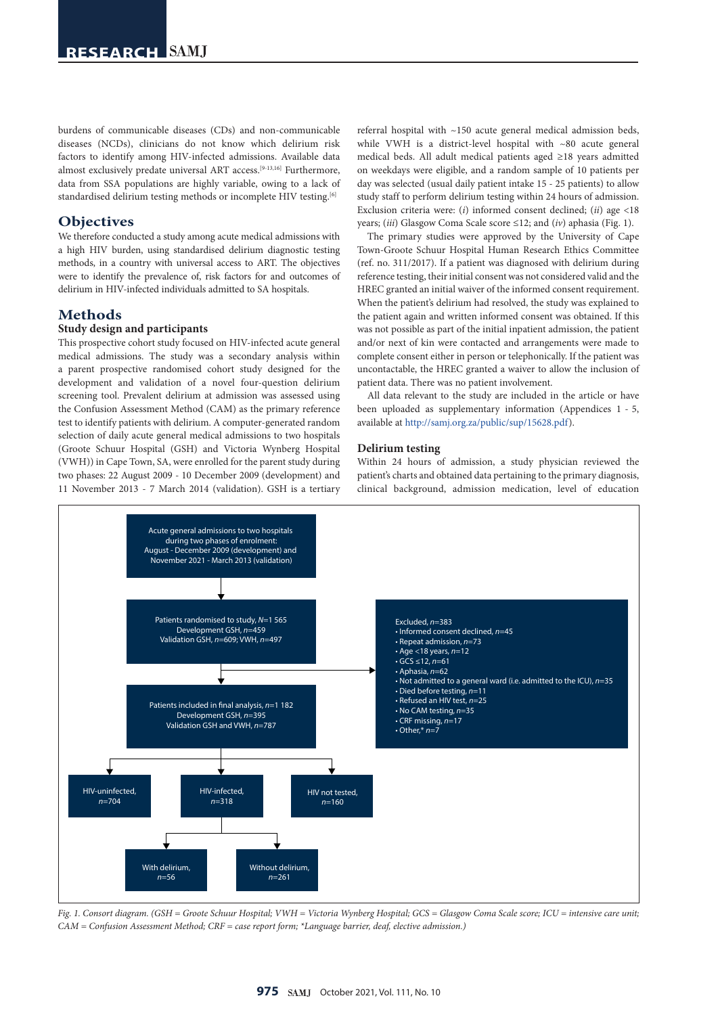burdens of communicable diseases (CDs) and non-communicable diseases (NCDs), clinicians do not know which delirium risk factors to identify among HIV-infected admissions. Available data almost exclusively predate universal ART access.[9-13,16] Furthermore, data from SSA populations are highly variable, owing to a lack of standardised delirium testing methods or incomplete HIV testing.<sup>[6]</sup>

# **Objectives**

We therefore conducted a study among acute medical admissions with a high HIV burden, using standardised delirium diagnostic testing methods, in a country with universal access to ART. The objectives were to identify the prevalence of, risk factors for and outcomes of delirium in HIV-infected individuals admitted to SA hospitals.

# **Methods**

#### **Study design and participants**

This prospective cohort study focused on HIV-infected acute general medical admissions. The study was a secondary analysis within a parent prospective randomised cohort study designed for the development and validation of a novel four-question delirium screening tool. Prevalent delirium at admission was assessed using the Confusion Assessment Method (CAM) as the primary reference test to identify patients with delirium. A computer-generated random selection of daily acute general medical admissions to two hospitals (Groote Schuur Hospital (GSH) and Victoria Wynberg Hospital (VWH)) in Cape Town, SA, were enrolled for the parent study during two phases: 22 August 2009 - 10 December 2009 (development) and 11 November 2013 - 7 March 2014 (validation). GSH is a tertiary

referral hospital with ~150 acute general medical admission beds, while VWH is a district-level hospital with ~80 acute general medical beds. All adult medical patients aged ≥18 years admitted on weekdays were eligible, and a random sample of 10 patients per day was selected (usual daily patient intake 15 - 25 patients) to allow study staff to perform delirium testing within 24 hours of admission. Exclusion criteria were: (*i*) informed consent declined; (*ii*) age <18 years; (*iii*) Glasgow Coma Scale score ≤12; and (*iv*) aphasia (Fig. 1).

The primary studies were approved by the University of Cape Town-Groote Schuur Hospital Human Research Ethics Committee (ref. no. 311/2017). If a patient was diagnosed with delirium during reference testing, their initial consent was not considered valid and the HREC granted an initial waiver of the informed consent requirement. When the patient's delirium had resolved, the study was explained to the patient again and written informed consent was obtained. If this was not possible as part of the initial inpatient admission, the patient and/or next of kin were contacted and arrangements were made to complete consent either in person or telephonically. If the patient was uncontactable, the HREC granted a waiver to allow the inclusion of patient data. There was no patient involvement.

All data relevant to the study are included in the article or have been uploaded as supplementary information (Appendices 1 - 5, available at [http://samj.org.za/public/sup/15628.pdf\)](http://samj.org.za/public/sup/15628.pdf).

#### **Delirium testing**

Within 24 hours of admission, a study physician reviewed the patient's charts and obtained data pertaining to the primary diagnosis, clinical background, admission medication, level of education



*Fig. 1. Consort diagram. (GSH = Groote Schuur Hospital; VWH = Victoria Wynberg Hospital; GCS = Glasgow Coma Scale score; ICU = intensive care unit; CAM = Confusion Assessment Method; CRF = case report form; \*Language barrier, deaf, elective admission.)*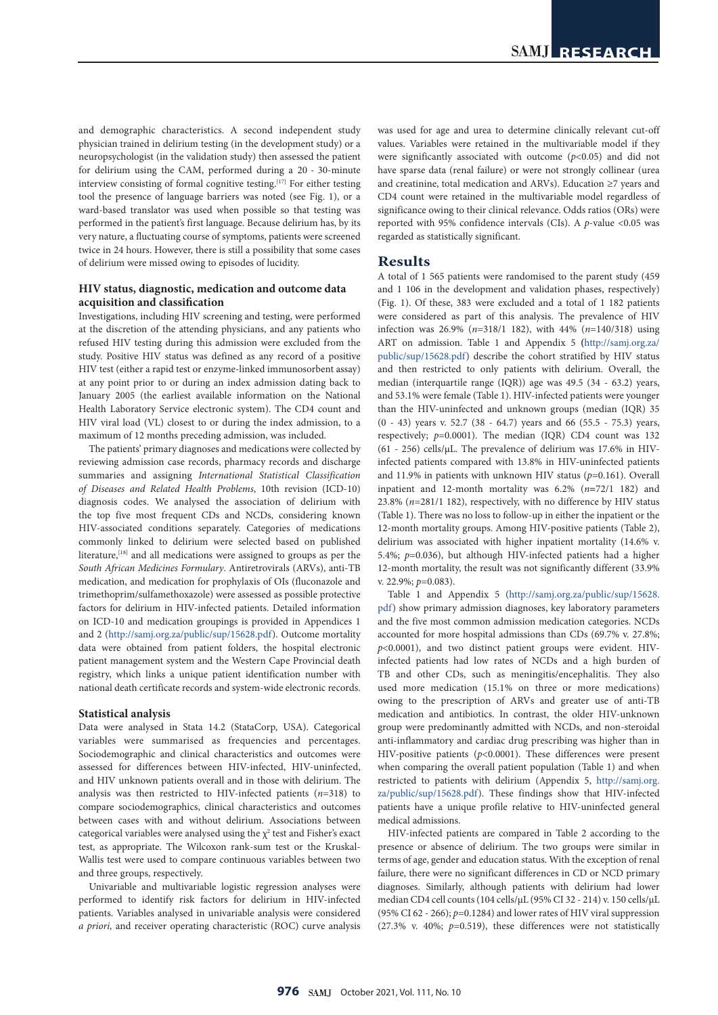and demographic characteristics. A second independent study physician trained in delirium testing (in the development study) or a neuropsychologist (in the validation study) then assessed the patient for delirium using the CAM, performed during a 20 - 30-minute interview consisting of formal cognitive testing.<sup>[17]</sup> For either testing tool the presence of language barriers was noted (see Fig. 1), or a ward-based translator was used when possible so that testing was performed in the patient's first language. Because delirium has, by its very nature, a fluctuating course of symptoms, patients were screened twice in 24 hours. However, there is still a possibility that some cases of delirium were missed owing to episodes of lucidity.

### **HIV status, diagnostic, medication and outcome data acquisition and classification**

Investigations, including HIV screening and testing, were performed at the discretion of the attending physicians, and any patients who refused HIV testing during this admission were excluded from the study. Positive HIV status was defined as any record of a positive HIV test (either a rapid test or enzyme-linked immunosorbent assay) at any point prior to or during an index admission dating back to January 2005 (the earliest available information on the National Health Laboratory Service electronic system). The CD4 count and HIV viral load (VL) closest to or during the index admission, to a maximum of 12 months preceding admission, was included.

The patients' primary diagnoses and medications were collected by reviewing admission case records, pharmacy records and discharge summaries and assigning *International Statistical Classification of Diseases and Related Health Problems*, 10th revision (ICD-10) diagnosis codes. We analysed the association of delirium with the top five most frequent CDs and NCDs, considering known HIV-associated conditions separately. Categories of medications commonly linked to delirium were selected based on published literature,[18] and all medications were assigned to groups as per the *South African Medicines Formulary*. Antiretrovirals (ARVs), anti-TB medication, and medication for prophylaxis of OIs (fluconazole and trimethoprim/sulfamethoxazole) were assessed as possible protective factors for delirium in HIV-infected patients. Detailed information on ICD-10 and medication groupings is provided in Appendices 1 and 2 [\(http://samj.org.za/public/sup/15628.pdf\)](http://samj.org.za/public/sup/15628.pdf). Outcome mortality data were obtained from patient folders, the hospital electronic patient management system and the Western Cape Provincial death registry, which links a unique patient identification number with national death certificate records and system-wide electronic records.

#### **Statistical analysis**

Data were analysed in Stata 14.2 (StataCorp, USA). Categorical variables were summarised as frequencies and percentages. Sociodemographic and clinical characteristics and outcomes were assessed for differences between HIV-infected, HIV-uninfected, and HIV unknown patients overall and in those with delirium. The analysis was then restricted to HIV-infected patients (*n*=318) to compare sociodemographics, clinical characteristics and outcomes between cases with and without delirium. Associations between categorical variables were analysed using the  $\chi^2$  test and Fisher's exact test, as appropriate. The Wilcoxon rank-sum test or the Kruskal-Wallis test were used to compare continuous variables between two and three groups, respectively.

Univariable and multivariable logistic regression analyses were performed to identify risk factors for delirium in HIV-infected patients. Variables analysed in univariable analysis were considered *a priori,* and receiver operating characteristic (ROC) curve analysis was used for age and urea to determine clinically relevant cut-off values. Variables were retained in the multivariable model if they were significantly associated with outcome  $(p<0.05)$  and did not have sparse data (renal failure) or were not strongly collinear (urea and creatinine, total medication and ARVs). Education ≥7 years and CD4 count were retained in the multivariable model regardless of significance owing to their clinical relevance. Odds ratios (ORs) were reported with 95% confidence intervals (CIs). A *p*-value <0.05 was regarded as statistically significant.

# **Results**

A total of 1 565 patients were randomised to the parent study (459 and 1 106 in the development and validation phases, respectively) (Fig. 1). Of these, 383 were excluded and a total of 1 182 patients were considered as part of this analysis. The prevalence of HIV infection was 26.9% (*n*=318/1 182), with 44% (*n*=140/318) using ART on admission. Table 1 and Appendix 5 **(**[http://samj.org.za/](http://samj.org.za/public/sup/15628.pdf) [public/sup/15628.pdf](http://samj.org.za/public/sup/15628.pdf)) describe the cohort stratified by HIV status and then restricted to only patients with delirium. Overall, the median (interquartile range (IQR)) age was 49.5 (34 - 63.2) years, and 53.1% were female (Table 1). HIV-infected patients were younger than the HIV-uninfected and unknown groups (median (IQR) 35 (0 - 43) years v. 52.7 (38 - 64.7) years and 66 (55.5 - 75.3) years, respectively; *p*=0.0001). The median (IQR) CD4 count was 132 (61 - 256) cells/ $\mu$ L. The prevalence of delirium was 17.6% in HIVinfected patients compared with 13.8% in HIV-uninfected patients and 11.9% in patients with unknown HIV status (*p*=0.161). Overall inpatient and 12-month mortality was 6.2% (*n***=**72/1 182) and 23.8% (*n*=281/1 182), respectively, with no difference by HIV status (Table 1). There was no loss to follow-up in either the inpatient or the 12-month mortality groups. Among HIV-positive patients (Table 2), delirium was associated with higher inpatient mortality (14.6% v. 5.4%; *p*=0.036), but although HIV-infected patients had a higher 12-month mortality, the result was not significantly different (33.9% v. 22.9%; *p*=0.083).

Table 1 and Appendix 5 [\(http://samj.org.za/public/sup/15628.](http://samj.org.za/public/sup/15628.pdf) [pdf](http://samj.org.za/public/sup/15628.pdf)) show primary admission diagnoses, key laboratory parameters and the five most common admission medication categories. NCDs accounted for more hospital admissions than CDs (69.7% v. 27.8%; *p*<0.0001), and two distinct patient groups were evident. HIVinfected patients had low rates of NCDs and a high burden of TB and other CDs, such as meningitis/encephalitis. They also used more medication (15.1% on three or more medications) owing to the prescription of ARVs and greater use of anti-TB medication and antibiotics. In contrast, the older HIV-unknown group were predominantly admitted with NCDs, and non-steroidal anti-inflammatory and cardiac drug prescribing was higher than in HIV-positive patients (*p*<0.0001). These differences were present when comparing the overall patient population (Table 1) and when restricted to patients with delirium (Appendix 5, [http://samj.org.](http://samj.org.za/public/sup/15628.pdf) [za/public/sup/15628.pdf\)](http://samj.org.za/public/sup/15628.pdf). These findings show that HIV-infected patients have a unique profile relative to HIV-uninfected general medical admissions.

HIV-infected patients are compared in Table 2 according to the presence or absence of delirium. The two groups were similar in terms of age, gender and education status. With the exception of renal failure, there were no significant differences in CD or NCD primary diagnoses. Similarly, although patients with delirium had lower median CD4 cell counts (104 cells/µL (95% CI 32 - 214) v. 150 cells/µL (95% CI 62 - 266); *p*=0.1284) and lower rates of HIV viral suppression (27.3% v. 40%; *p*=0.519), these differences were not statistically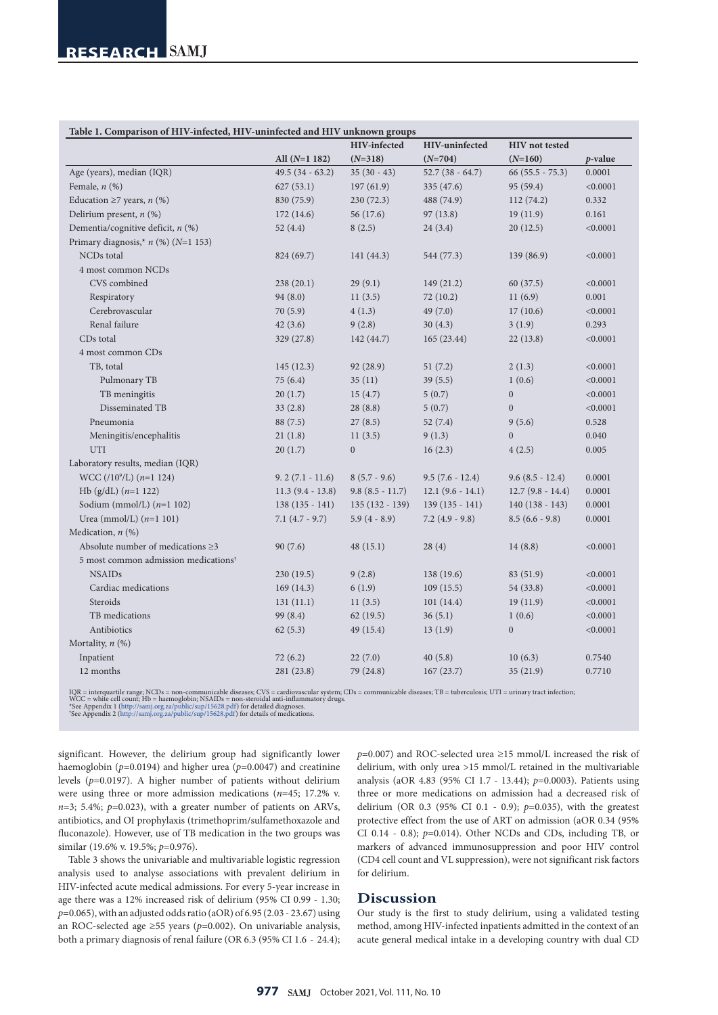| Table 1. Comparison of HIV-infected, HIV-uninfected and HIV unknown groups |                    |                   |                    |                       |          |  |  |  |  |  |
|----------------------------------------------------------------------------|--------------------|-------------------|--------------------|-----------------------|----------|--|--|--|--|--|
|                                                                            |                    | HIV-infected      | HIV-uninfected     | <b>HIV</b> not tested |          |  |  |  |  |  |
|                                                                            | All $(N=1 182)$    | $(N=318)$         | $(N=704)$          | $(N=160)$             | p-value  |  |  |  |  |  |
| Age (years), median (IQR)                                                  | $49.5(34 - 63.2)$  | $35(30-43)$       | $52.7(38 - 64.7)$  | $66(55.5 - 75.3)$     | 0.0001   |  |  |  |  |  |
| Female, $n$ $(\%)$                                                         | 627(53.1)          | 197(61.9)         | 335 (47.6)         | 95 (59.4)             | < 0.0001 |  |  |  |  |  |
| Education $\geq$ 7 years, <i>n</i> (%)                                     | 830 (75.9)         | 230(72.3)         | 488 (74.9)         | 112(74.2)             | 0.332    |  |  |  |  |  |
| Delirium present, $n$ (%)                                                  | 172(14.6)          | 56 (17.6)         | 97(13.8)           | 19(11.9)              | 0.161    |  |  |  |  |  |
| Dementia/cognitive deficit, $n$ (%)                                        | 52 $(4.4)$         | 8(2.5)            | 24(3.4)            | 20(12.5)              | < 0.0001 |  |  |  |  |  |
| Primary diagnosis,* $n$ (%) (N=1 153)                                      |                    |                   |                    |                       |          |  |  |  |  |  |
| <b>NCDs</b> total                                                          | 824 (69.7)         | 141 (44.3)        | 544 (77.3)         | 139 (86.9)            | < 0.0001 |  |  |  |  |  |
| 4 most common NCDs                                                         |                    |                   |                    |                       |          |  |  |  |  |  |
| CVS combined                                                               | 238(20.1)          | 29(9.1)           | 149(21.2)          | 60(37.5)              | < 0.0001 |  |  |  |  |  |
| Respiratory                                                                | 94(8.0)            | 11(3.5)           | 72(10.2)           | 11(6.9)               | 0.001    |  |  |  |  |  |
| Cerebrovascular                                                            | 70(5.9)            | 4(1.3)            | 49 (7.0)           | 17(10.6)              | < 0.0001 |  |  |  |  |  |
| Renal failure                                                              | 42(3.6)            | 9(2.8)            | 30(4.3)            | 3(1.9)                | 0.293    |  |  |  |  |  |
| CD <sub>s</sub> total                                                      | 329(27.8)          | 142 (44.7)        | 165 (23.44)        | 22(13.8)              | < 0.0001 |  |  |  |  |  |
| 4 most common CDs                                                          |                    |                   |                    |                       |          |  |  |  |  |  |
| TB, total                                                                  | 145(12.3)          | 92 (28.9)         | 51(7.2)            | 2(1.3)                | < 0.0001 |  |  |  |  |  |
| Pulmonary TB                                                               | 75(6.4)            | 35(11)            | 39(5.5)            | 1(0.6)                | < 0.0001 |  |  |  |  |  |
| TB meningitis                                                              | 20(1.7)            | 15(4.7)           | 5(0.7)             | $\boldsymbol{0}$      | < 0.0001 |  |  |  |  |  |
| Disseminated TB                                                            | 33(2.8)            | 28(8.8)           | 5(0.7)             | $\overline{0}$        | < 0.0001 |  |  |  |  |  |
| Pneumonia                                                                  | 88 (7.5)           | 27(8.5)           | 52(7.4)            | 9(5.6)                | 0.528    |  |  |  |  |  |
| Meningitis/encephalitis                                                    | 21(1.8)            | 11(3.5)           | 9(1.3)             | $\overline{0}$        | 0.040    |  |  |  |  |  |
| <b>UTI</b>                                                                 | 20(1.7)            | $\boldsymbol{0}$  | 16(2.3)            | 4(2.5)                | 0.005    |  |  |  |  |  |
| Laboratory results, median (IQR)                                           |                    |                   |                    |                       |          |  |  |  |  |  |
| WCC (/10 <sup>9</sup> /L) ( $n=1$ 124)                                     | $9.2(7.1 - 11.6)$  | $8(5.7 - 9.6)$    | $9.5(7.6 - 12.4)$  | $9.6(8.5 - 12.4)$     | 0.0001   |  |  |  |  |  |
| Hb (g/dL) $(n=1 122)$                                                      | $11.3(9.4 - 13.8)$ | $9.8(8.5 - 11.7)$ | $12.1(9.6 - 14.1)$ | $12.7(9.8 - 14.4)$    | 0.0001   |  |  |  |  |  |
| Sodium (mmol/L) $(n=1 102)$                                                | $138(135 - 141)$   | $135(132 - 139)$  | $139(135 - 141)$   | $140(138 - 143)$      | 0.0001   |  |  |  |  |  |
| Urea (mmol/L) $(n=1 101)$                                                  | $7.1(4.7 - 9.7)$   | $5.9(4 - 8.9)$    | $7.2$ (4.9 - 9.8)  | $8.5(6.6 - 9.8)$      | 0.0001   |  |  |  |  |  |
| Medication, $n$ (%)                                                        |                    |                   |                    |                       |          |  |  |  |  |  |
| Absolute number of medications $\geq 3$                                    | 90(7.6)            | 48(15.1)          | 28(4)              | 14(8.8)               | < 0.0001 |  |  |  |  |  |
| 5 most common admission medications <sup>†</sup>                           |                    |                   |                    |                       |          |  |  |  |  |  |
| <b>NSAIDs</b>                                                              | 230 (19.5)         | 9(2.8)            | 138 (19.6)         | 83 (51.9)             | < 0.0001 |  |  |  |  |  |
| Cardiac medications                                                        | 169(14.3)          | 6(1.9)            | 109(15.5)          | 54 (33.8)             | < 0.0001 |  |  |  |  |  |
| Steroids                                                                   | 131(11.1)          | 11(3.5)           | 101(14.4)          | 19(11.9)              | < 0.0001 |  |  |  |  |  |
| TB medications                                                             | 99 (8.4)           | 62(19.5)          | 36(5.1)            | 1(0.6)                | < 0.0001 |  |  |  |  |  |
| Antibiotics                                                                | 62(5.3)            | 49 (15.4)         | 13(1.9)            | $\boldsymbol{0}$      | < 0.0001 |  |  |  |  |  |
| Mortality, $n$ (%)                                                         |                    |                   |                    |                       |          |  |  |  |  |  |
| Inpatient                                                                  | 72(6.2)            | 22(7.0)           | 40(5.8)            | 10(6.3)               | 0.7540   |  |  |  |  |  |
| 12 months                                                                  | 281 (23.8)         | 79 (24.8)         | 167(23.7)          | 35(21.9)              | 0.7710   |  |  |  |  |  |
|                                                                            |                    |                   |                    |                       |          |  |  |  |  |  |

IQR = interquartile range; NCDs = non-communicable diseases; CVS = cardiovascular system; CDs = communicable diseases; TB = tuberculosis; UTI = urinary tract infection;<br>WCC = white cell count; Hb = haemoglobin; NSAIDs = no

significant. However, the delirium group had significantly lower haemoglobin (*p*=0.0194) and higher urea (*p*=0.0047) and creatinine levels (*p*=0.0197). A higher number of patients without delirium were using three or more admission medications (*n*=45; 17.2% v.  $n=3$ ; 5.4%;  $p=0.023$ ), with a greater number of patients on ARVs, antibiotics, and OI prophylaxis (trimethoprim/sulfamethoxazole and fluconazole). However, use of TB medication in the two groups was similar (19.6% v. 19.5%; *p*=0.976).

Table 3 shows the univariable and multivariable logistic regression analysis used to analyse associations with prevalent delirium in HIV-infected acute medical admissions. For every 5-year increase in age there was a 12% increased risk of delirium (95% CI 0.99 - 1.30; *p*=0.065), with an adjusted odds ratio (aOR) of 6.95 (2.03 - 23.67) using an ROC-selected age ≥55 years ( $p$ =0.002). On univariable analysis, both a primary diagnosis of renal failure (OR 6.3 (95% CI 1.6 - 24.4);

*p*=0.007) and ROC-selected urea ≥15 mmol/L increased the risk of delirium, with only urea >15 mmol/L retained in the multivariable analysis (aOR 4.83 (95% CI 1.7 - 13.44); *p*=0.0003). Patients using three or more medications on admission had a decreased risk of delirium (OR 0.3 (95% CI 0.1 - 0.9); *p*=0.035), with the greatest protective effect from the use of ART on admission (aOR 0.34 (95% CI 0.14 - 0.8); *p*=0.014). Other NCDs and CDs, including TB, or markers of advanced immunosuppression and poor HIV control (CD4 cell count and VL suppression), were not significant risk factors for delirium.

## **Discussion**

Our study is the first to study delirium, using a validated testing method, among HIV-infected inpatients admitted in the context of an acute general medical intake in a developing country with dual CD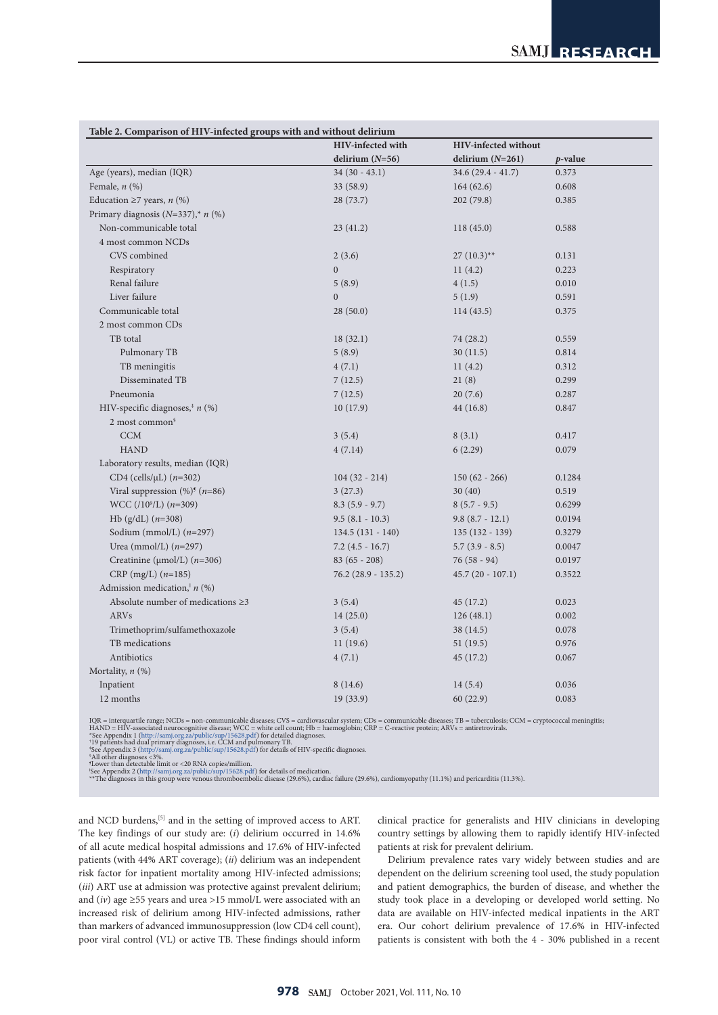| Table 2. Comparison of HIV-infected groups with and without delirium |                          |                             |         |  |
|----------------------------------------------------------------------|--------------------------|-----------------------------|---------|--|
|                                                                      | <b>HIV-infected with</b> | <b>HIV-infected without</b> |         |  |
|                                                                      | delirium $(N=56)$        | delirium $(N=261)$          | p-value |  |
| Age (years), median (IQR)                                            | $34(30 - 43.1)$          | $34.6(29.4 - 41.7)$         | 0.373   |  |
| Female, $n$ $(\%)$                                                   | 33 (58.9)                | 164(62.6)                   | 0.608   |  |
| Education $\geq$ 7 years, <i>n</i> (%)                               | 28 (73.7)                | 202 (79.8)                  | 0.385   |  |
| Primary diagnosis ( $N=337$ ),* $n$ (%)                              |                          |                             |         |  |
| Non-communicable total                                               | 23(41.2)                 | 118(45.0)                   | 0.588   |  |
| 4 most common NCDs                                                   |                          |                             |         |  |
| CVS combined                                                         | 2(3.6)                   | $27(10.3)$ **               | 0.131   |  |
| Respiratory                                                          | $\overline{0}$           | 11(4.2)                     | 0.223   |  |
| Renal failure                                                        | 5(8.9)                   | 4(1.5)                      | 0.010   |  |
| Liver failure                                                        | $\mathbf{0}$             | 5(1.9)                      | 0.591   |  |
| Communicable total                                                   | 28(50.0)                 | 114(43.5)                   | 0.375   |  |
| 2 most common CDs                                                    |                          |                             |         |  |
| TB total                                                             | 18(32.1)                 | 74 (28.2)                   | 0.559   |  |
| Pulmonary TB                                                         | 5(8.9)                   | 30(11.5)                    | 0.814   |  |
| TB meningitis                                                        | 4(7.1)                   | 11(4.2)                     | 0.312   |  |
| Disseminated TB                                                      | 7(12.5)                  | 21(8)                       | 0.299   |  |
| Pneumonia                                                            | 7(12.5)                  | 20(7.6)                     | 0.287   |  |
| HIV-specific diagnoses, <sup><math>#n</math></sup> (%)               | 10(17.9)                 | 44 (16.8)                   | 0.847   |  |
| 2 most common <sup>§</sup>                                           |                          |                             |         |  |
| <b>CCM</b>                                                           | 3(5.4)                   | 8(3.1)                      | 0.417   |  |
| <b>HAND</b>                                                          | 4(7.14)                  | 6(2.29)                     | 0.079   |  |
| Laboratory results, median (IQR)                                     |                          |                             |         |  |
| CD4 (cells/ $\mu$ L) ( $n=302$ )                                     | $104(32 - 214)$          | $150(62 - 266)$             | 0.1284  |  |
| Viral suppression $(\%)^{\mathfrak{g}}$ ( <i>n</i> =86)              | 3(27.3)                  | 30(40)                      | 0.519   |  |
| WCC (/10 <sup>9</sup> /L) $(n=309)$                                  | $8.3(5.9 - 9.7)$         | $8(5.7 - 9.5)$              | 0.6299  |  |
| Hb (g/dL) $(n=308)$                                                  | $9.5(8.1 - 10.3)$        | $9.8(8.7 - 12.1)$           | 0.0194  |  |
| Sodium (mmol/L) $(n=297)$                                            | $134.5(131 - 140)$       | $135(132 - 139)$            | 0.3279  |  |
| Urea (mmol/L) $(n=297)$                                              | $7.2(4.5 - 16.7)$        | $5.7(3.9 - 8.5)$            | 0.0047  |  |
| Creatinine ( $\mu$ mol/L) ( $n=306$ )                                | $83(65 - 208)$           | $76(58 - 94)$               | 0.0197  |  |
| CRP (mg/L) $(n=185)$                                                 | $76.2$ (28.9 - 135.2)    | $45.7(20 - 107.1)$          | 0.3522  |  |
| Admission medication, $n$ (%)                                        |                          |                             |         |  |
| Absolute number of medications $\geq 3$                              | 3(5.4)                   | 45 (17.2)                   | 0.023   |  |
| <b>ARVs</b>                                                          | 14(25.0)                 | 126(48.1)                   | 0.002   |  |
| Trimethoprim/sulfamethoxazole                                        | 3(5.4)                   | 38 (14.5)                   | 0.078   |  |
| TB medications                                                       | 11(19.6)                 | 51 (19.5)                   | 0.976   |  |
| Antibiotics                                                          | 4(7.1)                   | 45 (17.2)                   | 0.067   |  |
| Mortality, $n$ (%)                                                   |                          |                             |         |  |
| Inpatient                                                            | 8(14.6)                  | 14(5.4)                     | 0.036   |  |
| 12 months                                                            | 19 (33.9)                | 60(22.9)                    | 0.083   |  |
|                                                                      |                          |                             |         |  |

IQR = interquartile range; NCDs = non-communicable diseases; CVS = cardiovascular system; CDs = communicable diseases; TB = tuberculosis; CCM = cryptococcal meningitis;<br>HAND = HIV-associated neurocognitive disease; WCC = w

\*All other diagnoses <3%.<br>\*Lower than detectable limit or <20 RNA copies/million.<br>"Lower than detectable limit or <20 RNA copies/million.<br>"See Appendix 2 (<http://samj.org.za/public/sup/15628.pdf>) for details of medication

and NCD burdens,<sup>[5]</sup> and in the setting of improved access to ART. The key findings of our study are: (*i*) delirium occurred in 14.6% of all acute medical hospital admissions and 17.6% of HIV-infected patients (with 44% ART coverage); (*ii*) delirium was an independent risk factor for inpatient mortality among HIV-infected admissions; (*iii*) ART use at admission was protective against prevalent delirium; and  $(iv)$  age  $\geq$ 55 years and urea >15 mmol/L were associated with an increased risk of delirium among HIV-infected admissions, rather than markers of advanced immunosuppression (low CD4 cell count), poor viral control (VL) or active TB. These findings should inform

clinical practice for generalists and HIV clinicians in developing country settings by allowing them to rapidly identify HIV-infected patients at risk for prevalent delirium.

Delirium prevalence rates vary widely between studies and are dependent on the delirium screening tool used, the study population and patient demographics, the burden of disease, and whether the study took place in a developing or developed world setting. No data are available on HIV-infected medical inpatients in the ART era. Our cohort delirium prevalence of 17.6% in HIV-infected patients is consistent with both the 4 - 30% published in a recent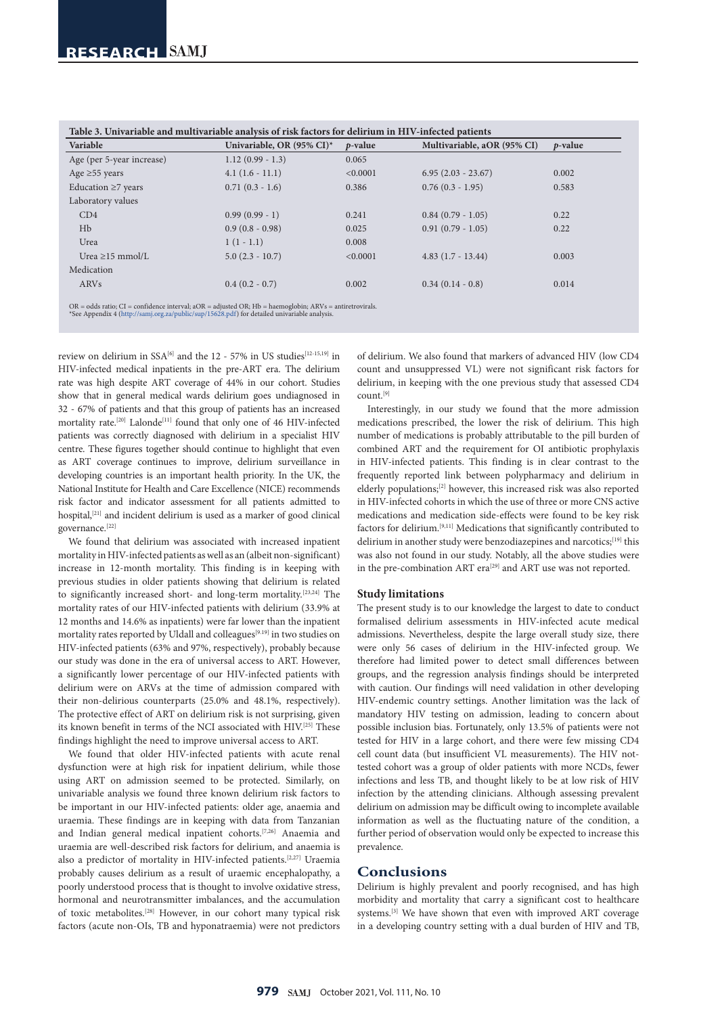| Variable                  | Univariable, OR (95% CI)* | p-value  | Multivariable, aOR (95% CI) | $p$ -value |
|---------------------------|---------------------------|----------|-----------------------------|------------|
| Age (per 5-year increase) | $1.12(0.99 - 1.3)$        | 0.065    |                             |            |
| Age $\geq$ 55 years       | $4.1(1.6-11.1)$           | < 0.0001 | $6.95(2.03 - 23.67)$        | 0.002      |
| Education $\geq$ 7 years  | $0.71(0.3 - 1.6)$         | 0.386    | $0.76(0.3 - 1.95)$          | 0.583      |
| Laboratory values         |                           |          |                             |            |
| CD4                       | $0.99(0.99 - 1)$          | 0.241    | $0.84(0.79 - 1.05)$         | 0.22       |
| Hb                        | $0.9(0.8 - 0.98)$         | 0.025    | $0.91(0.79 - 1.05)$         | 0.22       |
| Urea                      | $1(1-1.1)$                | 0.008    |                             |            |
| Urea $\geq$ 15 mmol/L     | $5.0(2.3 - 10.7)$         | < 0.0001 | $4.83(1.7 - 13.44)$         | 0.003      |
| Medication                |                           |          |                             |            |
| ARVs                      | $0.4(0.2 - 0.7)$          | 0.002    | $0.34(0.14 - 0.8)$          | 0.014      |

**Table 3. Univariable and multivariable analysis of risk factors for delirium in HIV-infected patients**

review on delirium in SSA<sup>[6]</sup> and the 12 - 57% in US studies<sup>[12-15,19]</sup> in HIV-infected medical inpatients in the pre-ART era. The delirium rate was high despite ART coverage of 44% in our cohort. Studies show that in general medical wards delirium goes undiagnosed in 32 - 67% of patients and that this group of patients has an increased mortality rate.<sup>[20]</sup> Lalonde<sup>[11]</sup> found that only one of 46 HIV-infected patients was correctly diagnosed with delirium in a specialist HIV centre. These figures together should continue to highlight that even as ART coverage continues to improve, delirium surveillance in developing countries is an important health priority. In the UK, the National Institute for Health and Care Excellence (NICE) recommends risk factor and indicator assessment for all patients admitted to hospital,  $\left[21\right]$  and incident delirium is used as a marker of good clinical governance.<sup>[22]</sup>

We found that delirium was associated with increased inpatient mortality in HIV-infected patients as well as an (albeit non-significant) increase in 12-month mortality. This finding is in keeping with previous studies in older patients showing that delirium is related to significantly increased short- and long-term mortality.<sup>[23,24]</sup> The mortality rates of our HIV-infected patients with delirium (33.9% at 12 months and 14.6% as inpatients) were far lower than the inpatient mortality rates reported by Uldall and colleagues<sup>[9.19]</sup> in two studies on HIV-infected patients (63% and 97%, respectively), probably because our study was done in the era of universal access to ART. However, a significantly lower percentage of our HIV-infected patients with delirium were on ARVs at the time of admission compared with their non-delirious counterparts (25.0% and 48.1%, respectively). The protective effect of ART on delirium risk is not surprising, given its known benefit in terms of the NCI associated with HIV.[25] These findings highlight the need to improve universal access to ART.

We found that older HIV-infected patients with acute renal dysfunction were at high risk for inpatient delirium, while those using ART on admission seemed to be protected. Similarly, on univariable analysis we found three known delirium risk factors to be important in our HIV-infected patients: older age, anaemia and uraemia. These findings are in keeping with data from Tanzanian and Indian general medical inpatient cohorts.[7,26] Anaemia and uraemia are well-described risk factors for delirium, and anaemia is also a predictor of mortality in HIV-infected patients.[2,27] Uraemia probably causes delirium as a result of uraemic encephalopathy, a poorly understood process that is thought to involve oxidative stress, hormonal and neurotransmitter imbalances, and the accumulation of toxic metabolites.[28] However, in our cohort many typical risk factors (acute non-OIs, TB and hyponatraemia) were not predictors

of delirium. We also found that markers of advanced HIV (low CD4 count and unsuppressed VL) were not significant risk factors for delirium, in keeping with the one previous study that assessed CD4 count.[9]

Interestingly, in our study we found that the more admission medications prescribed, the lower the risk of delirium. This high number of medications is probably attributable to the pill burden of combined ART and the requirement for OI antibiotic prophylaxis in HIV-infected patients. This finding is in clear contrast to the frequently reported link between polypharmacy and delirium in elderly populations;[2] however, this increased risk was also reported in HIV-infected cohorts in which the use of three or more CNS active medications and medication side-effects were found to be key risk factors for delirium.[9,11] Medications that significantly contributed to delirium in another study were benzodiazepines and narcotics;[19] this was also not found in our study. Notably, all the above studies were in the pre-combination ART era<sup>[29]</sup> and ART use was not reported.

#### **Study limitations**

The present study is to our knowledge the largest to date to conduct formalised delirium assessments in HIV-infected acute medical admissions. Nevertheless, despite the large overall study size, there were only 56 cases of delirium in the HIV-infected group. We therefore had limited power to detect small differences between groups, and the regression analysis findings should be interpreted with caution. Our findings will need validation in other developing HIV-endemic country settings. Another limitation was the lack of mandatory HIV testing on admission, leading to concern about possible inclusion bias. Fortunately, only 13.5% of patients were not tested for HIV in a large cohort, and there were few missing CD4 cell count data (but insufficient VL measurements). The HIV nottested cohort was a group of older patients with more NCDs, fewer infections and less TB, and thought likely to be at low risk of HIV infection by the attending clinicians. Although assessing prevalent delirium on admission may be difficult owing to incomplete available information as well as the fluctuating nature of the condition, a further period of observation would only be expected to increase this prevalence.

#### **Conclusions**

Delirium is highly prevalent and poorly recognised, and has high morbidity and mortality that carry a significant cost to healthcare systems.<sup>[3]</sup> We have shown that even with improved ART coverage in a developing country setting with a dual burden of HIV and TB,